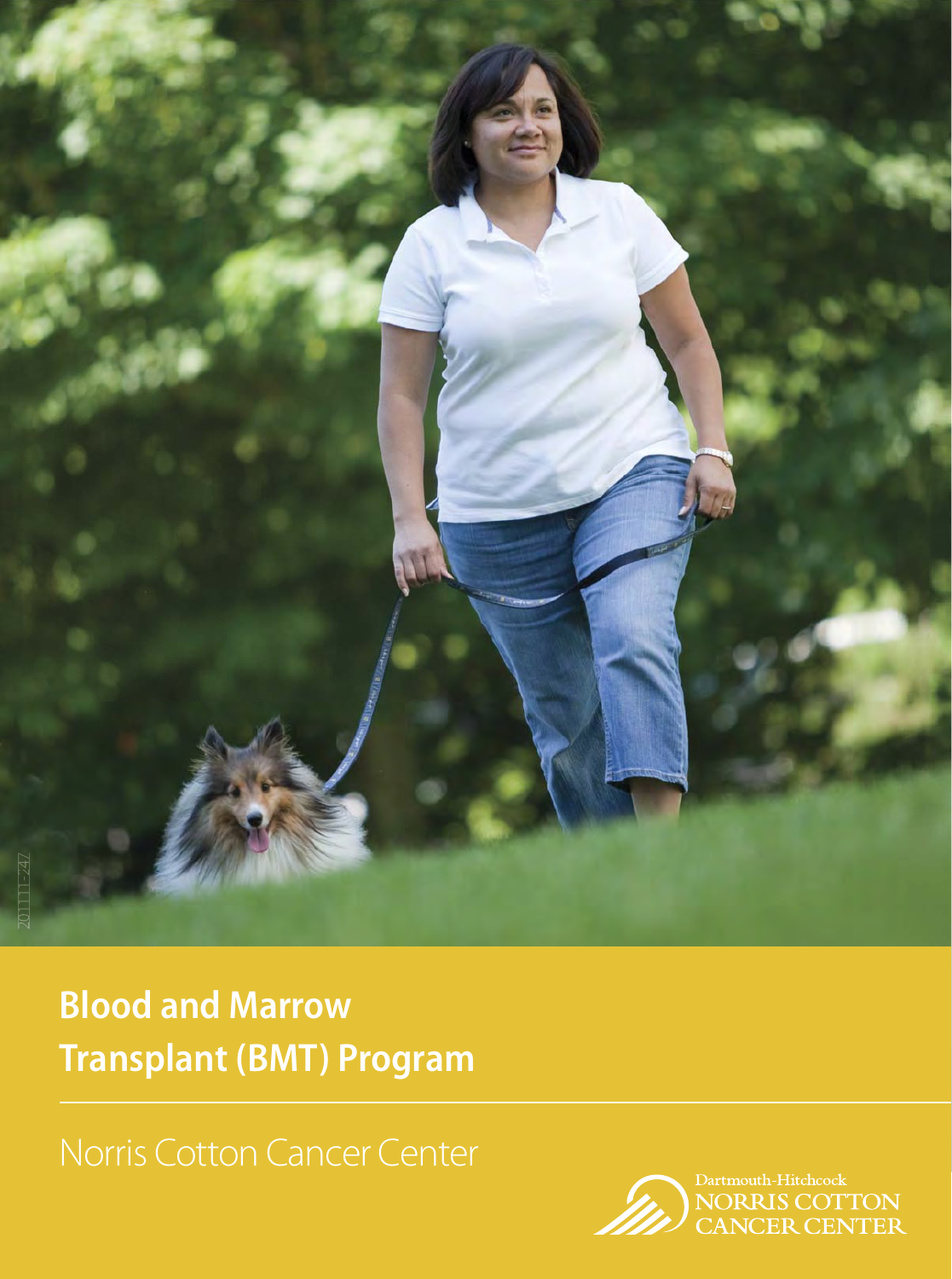

**Blood and Marrow Transplant (BMT) Program**

Norris Cotton Cancer Center

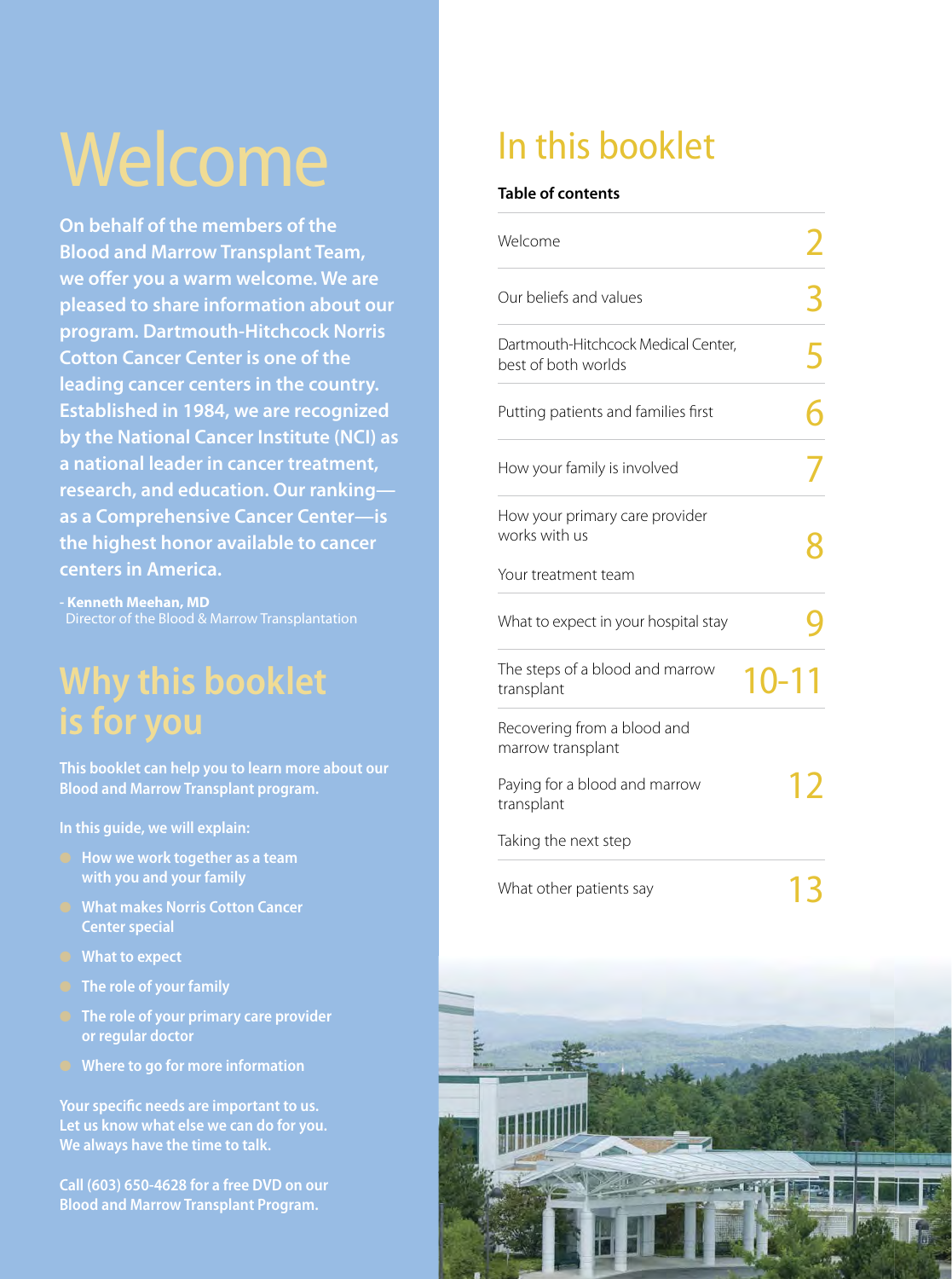# Welcome

**On behalf of the members of the Blood and Marrow Transplant Team,**  we offer you a warm welcome. We are **pleased to share information about our program. Dartmouth-Hitchcock Norris Cotton Cancer Center is one of the leading cancer centers in the country. Established in 1984, we are recognized by the National Cancer Institute (NCI) as a national leader in cancer treatment, research, and education. Our ranking as a Comprehensive Cancer Center—is the highest honor available to cancer centers in America.**

**- Kenneth Meehan, MD** Director of the Blood & Marrow Transplantation

# **Why this booklet is for you**

**This booklet can help you to learn more about our Blood and Marrow Transplant program.** 

**In this guide, we will explain:**

- **How we work together as a team with you and your family**
- **What makes Norris Cotton Cancer Center special**
- **What to expect**
- **The role of your family**
- **The role of your primary care provider or regular doctor**
- **Where to go for more information**

Your specific needs are important to us. **Let us know what else we can do for you. We always have the time to talk.** 

**Call (603) 650-4628 for a free DVD on our Blood and Marrow Transplant Program.**

# In this booklet

#### **Table of contents**

| Welcome                                                    |   |
|------------------------------------------------------------|---|
| Our beliefs and values                                     | 3 |
| Dartmouth-Hitchcock Medical Center,<br>best of both worlds | 5 |
| Putting patients and families first                        |   |
| How your family is involved                                |   |
| How your primary care provider<br>works with us            |   |
| Your treatment team                                        |   |
| What to expect in your hospital stay                       |   |
| The steps of a blood and marrow<br>10-11<br>transplant     |   |
| Recovering from a blood and<br>marrow transplant           |   |
| Paying for a blood and marrow<br>transplant                |   |
| Taking the next step                                       |   |
| What other patients say                                    |   |

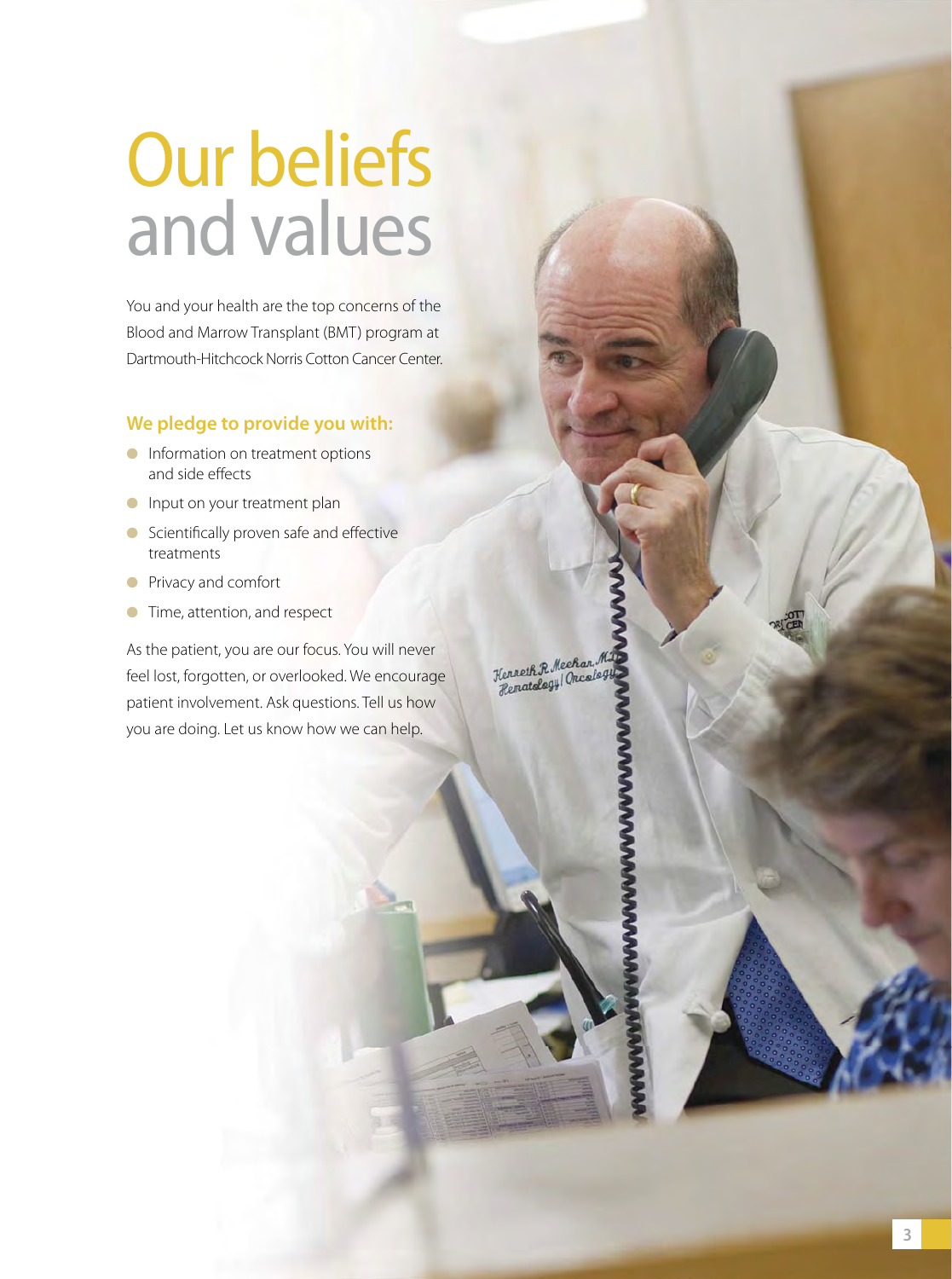# Our beliefs and values

You and your health are the top concerns of the Blood and Marrow Transplant (BMT) program at Dartmouth-Hitchcock Norris Cotton Cancer Center.

### **We pledge to provide you with:**

- **•** Information on treatment options and side effects
- **•** Input on your treatment plan
- Scientifically proven safe and effective treatments
- Privacy and comfort
- **•** Time, attention, and respect

As the patient, you are our focus. You will never feel lost, forgotten, or overlooked. We encourage patient involvement. Ask questions. Tell us how you are doing. Let us know how we can help.

Kenneth R Mechan M.<br>Hennatalagy (Oncaleg.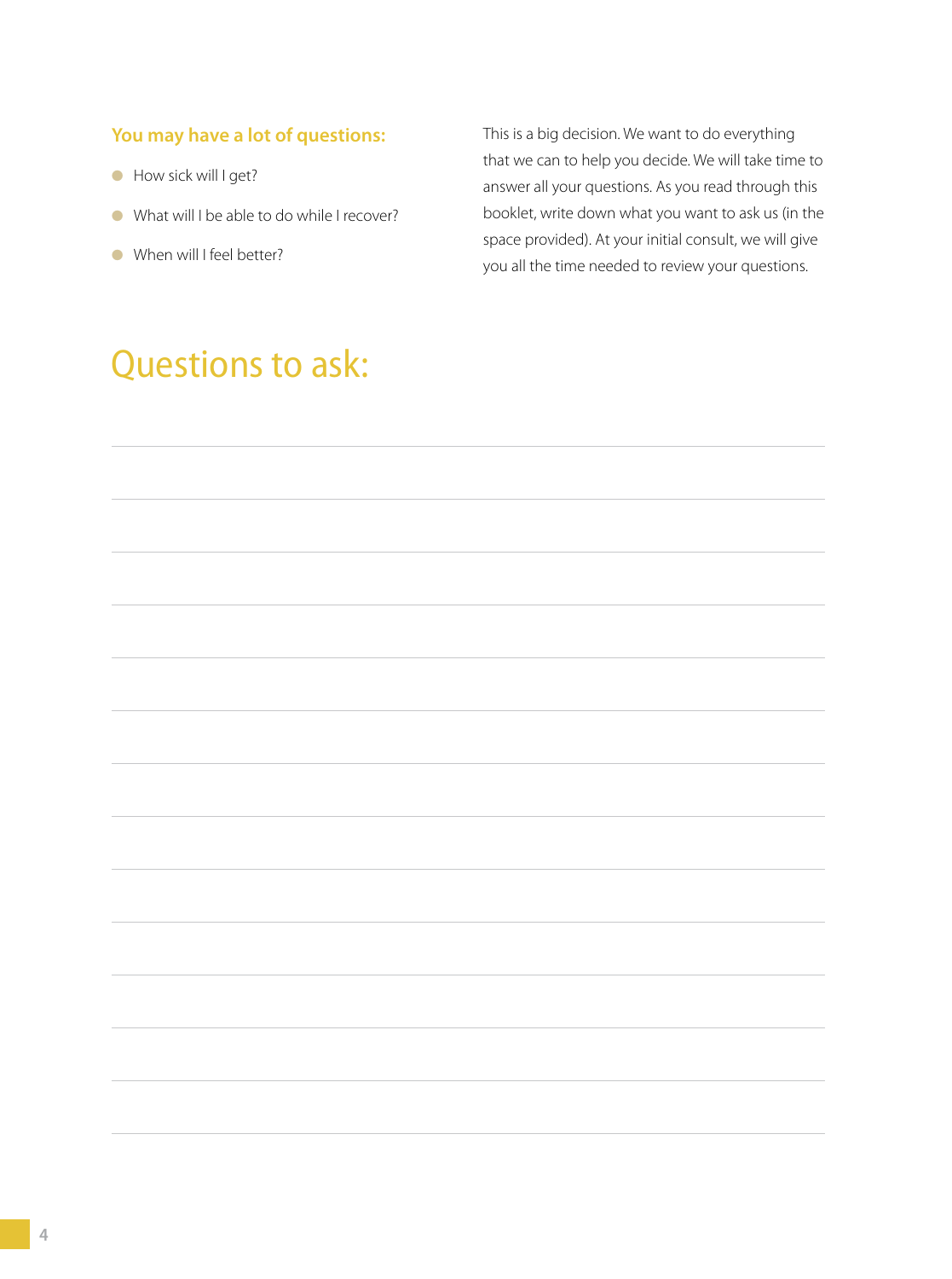### **You may have a lot of questions:**

- How sick will I get?
- What will I be able to do while I recover?
- When will I feel better?

This is a big decision. We want to do everything that we can to help you decide. We will take time to answer all your questions. As you read through this booklet, write down what you want to ask us (in the space provided). At your initial consult, we will give you all the time needed to review your questions.

# Questions to ask: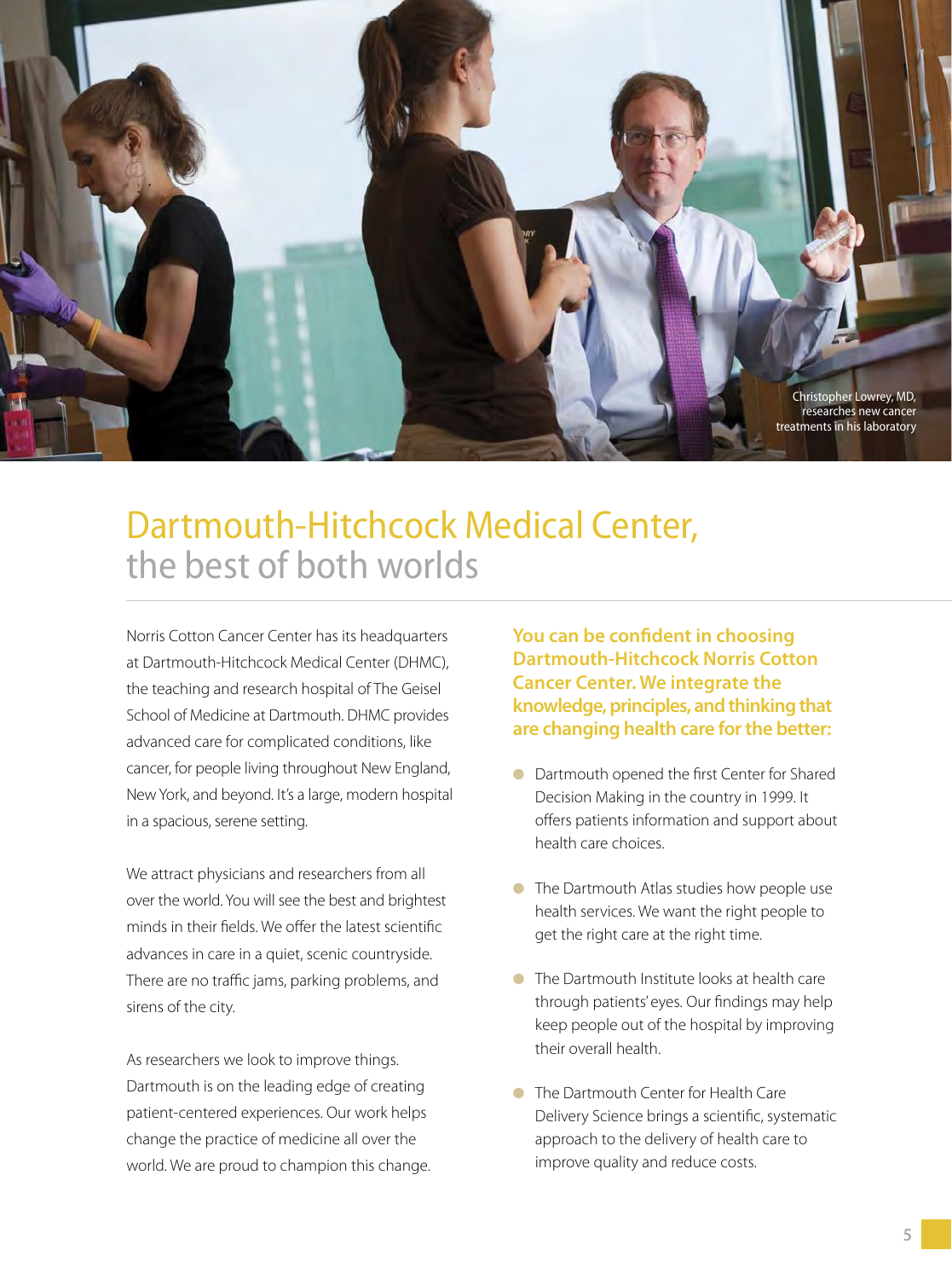

# Dartmouth-Hitchcock Medical Center, the best of both worlds

Norris Cotton Cancer Center has its headquarters at Dartmouth-Hitchcock Medical Center (DHMC), the teaching and research hospital of The Geisel School of Medicine at Dartmouth. DHMC provides advanced care for complicated conditions, like cancer, for people living throughout New England, New York, and beyond. It's a large, modern hospital in a spacious, serene setting.

We attract physicians and researchers from all over the world. You will see the best and brightest minds in their fields. We offer the latest scientific advances in care in a quiet, scenic countryside. There are no traffic jams, parking problems, and sirens of the city.

As researchers we look to improve things. Dartmouth is on the leading edge of creating patient-centered experiences. Our work helps change the practice of medicine all over the world. We are proud to champion this change. **You can be confident in choosing Dartmouth-Hitchcock Norris Cotton Cancer Center. We integrate the knowledge, principles, and thinking that are changing health care for the better:**

- Dartmouth opened the first Center for Shared Decision Making in the country in 1999. It offers patients information and support about health care choices.
- The Dartmouth Atlas studies how people use health services. We want the right people to get the right care at the right time.
- The Dartmouth Institute looks at health care through patients' eyes. Our findings may help keep people out of the hospital by improving their overall health.
- The Dartmouth Center for Health Care Delivery Science brings a scientific, systematic approach to the delivery of health care to improve quality and reduce costs.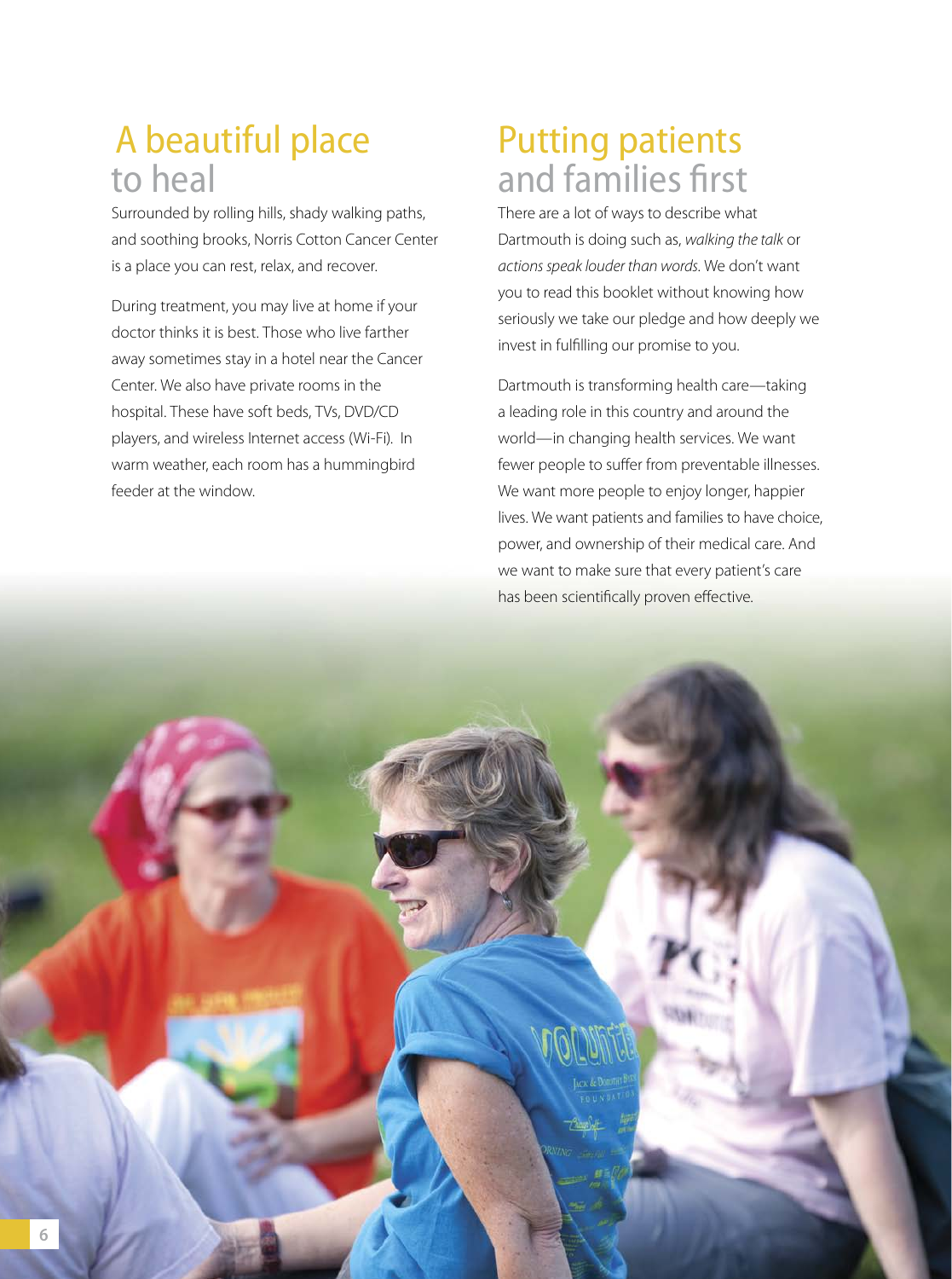# A beautiful place to heal

Surrounded by rolling hills, shady walking paths, and soothing brooks, Norris Cotton Cancer Center is a place you can rest, relax, and recover.

During treatment, you may live at home if your doctor thinks it is best. Those who live farther away sometimes stay in a hotel near the Cancer Center. We also have private rooms in the hospital. These have soft beds, TVs, DVD/CD players, and wireless Internet access (Wi-Fi). In warm weather, each room has a hummingbird feeder at the window.

# Putting patients and families first

There are a lot of ways to describe what Dartmouth is doing such as, walking the talk or actions speak louder than words. We don't want you to read this booklet without knowing how seriously we take our pledge and how deeply we invest in fulfilling our promise to you.

Dartmouth is transforming health care—taking a leading role in this country and around the world—in changing health services. We want fewer people to suffer from preventable illnesses. We want more people to enjoy longer, happier lives. We want patients and families to have choice, power, and ownership of their medical care. And we want to make sure that every patient's care has been scientifically proven effective.

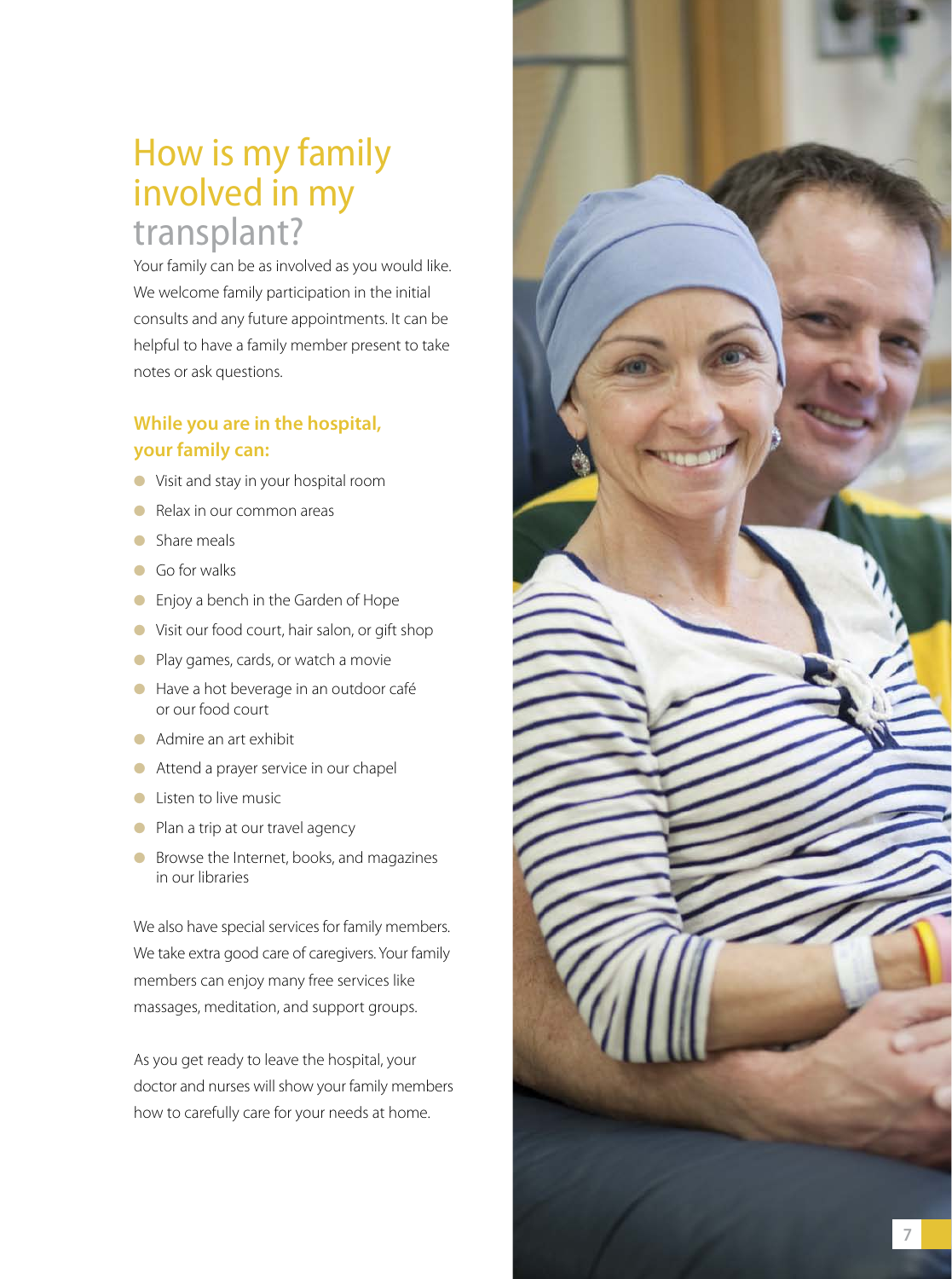### How is my family involved in my transplant?

Your family can be as involved as you would like. We welcome family participation in the initial consults and any future appointments. It can be helpful to have a family member present to take notes or ask questions.

### **While you are in the hospital, your family can:**

- Visit and stay in your hospital room
- Relax in our common areas
- Share meals
- Go for walks
- Enjoy a bench in the Garden of Hope
- Visit our food court, hair salon, or gift shop
- Play games, cards, or watch a movie
- Have a hot beverage in an outdoor café or our food court
- Admire an art exhibit
- Attend a prayer service in our chapel
- Listen to live music
- Plan a trip at our travel agency
- Browse the Internet, books, and magazines in our libraries

We also have special services for family members. We take extra good care of caregivers. Your family members can enjoy many free services like massages, meditation, and support groups.

As you get ready to leave the hospital, your doctor and nurses will show your family members how to carefully care for your needs at home.

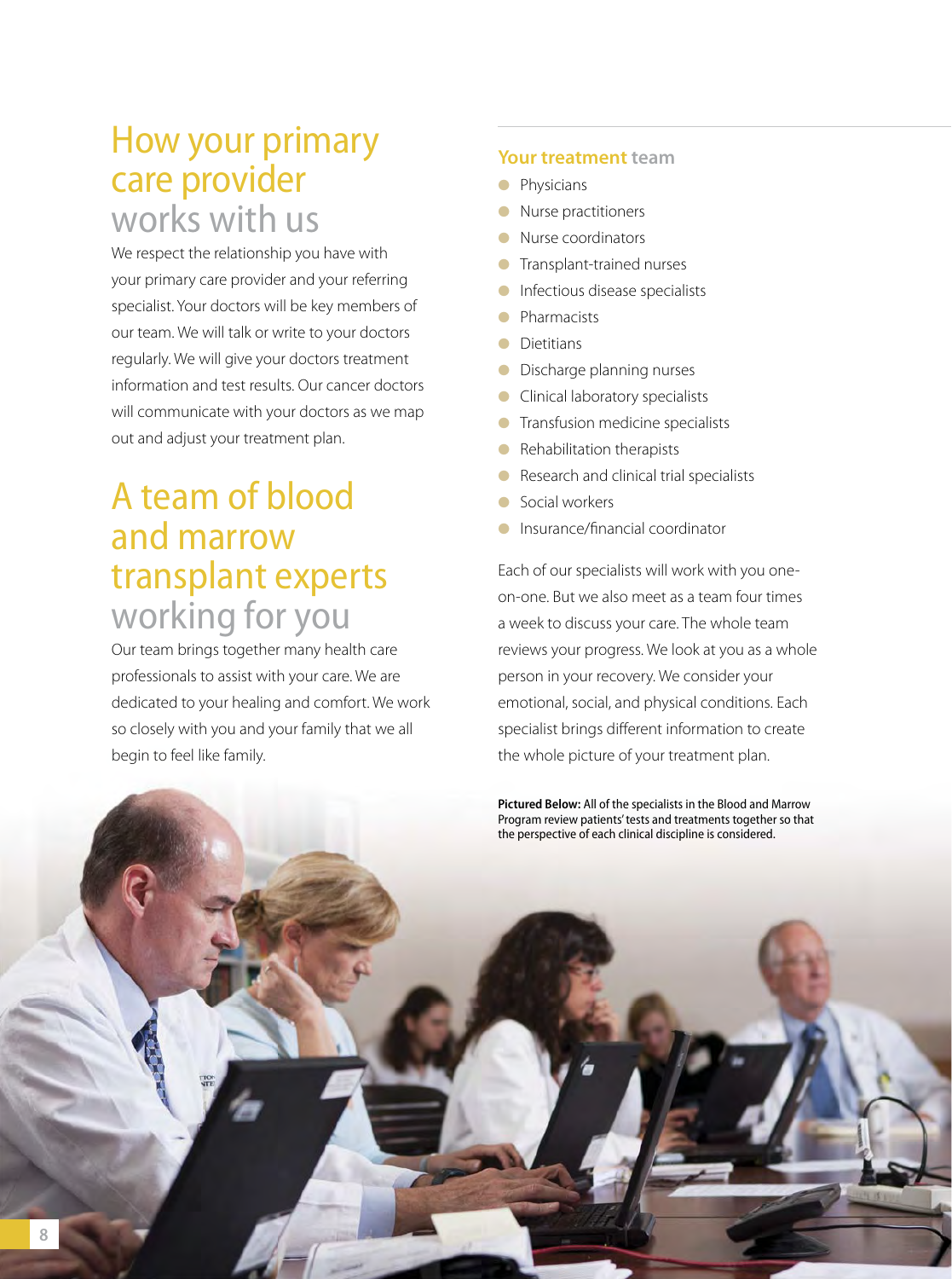### How your primary care provider works with us

We respect the relationship you have with your primary care provider and your referring specialist. Your doctors will be key members of our team. We will talk or write to your doctors regularly. We will give your doctors treatment information and test results. Our cancer doctors will communicate with your doctors as we map out and adjust your treatment plan.

### A team of blood and marrow transplant experts working for you

Our team brings together many health care professionals to assist with your care. We are dedicated to your healing and comfort. We work so closely with you and your family that we all begin to feel like family.

### **Your treatment team**

- Physicians
- Nurse practitioners
- Nurse coordinators
- Transplant-trained nurses
- Infectious disease specialists
- **Pharmacists**
- Dietitians
- Discharge planning nurses
- Clinical laboratory specialists
- **•** Transfusion medicine specialists
- Rehabilitation therapists
- Research and clinical trial specialists
- Social workers
- Insurance/financial coordinator

Each of our specialists will work with you oneon-one. But we also meet as a team four times a week to discuss your care. The whole team reviews your progress. We look at you as a whole person in your recovery. We consider your emotional, social, and physical conditions. Each specialist brings different information to create the whole picture of your treatment plan.

**Pictured Below:** All of the specialists in the Blood and Marrow Program review patients' tests and treatments together so that the perspective of each clinical discipline is considered.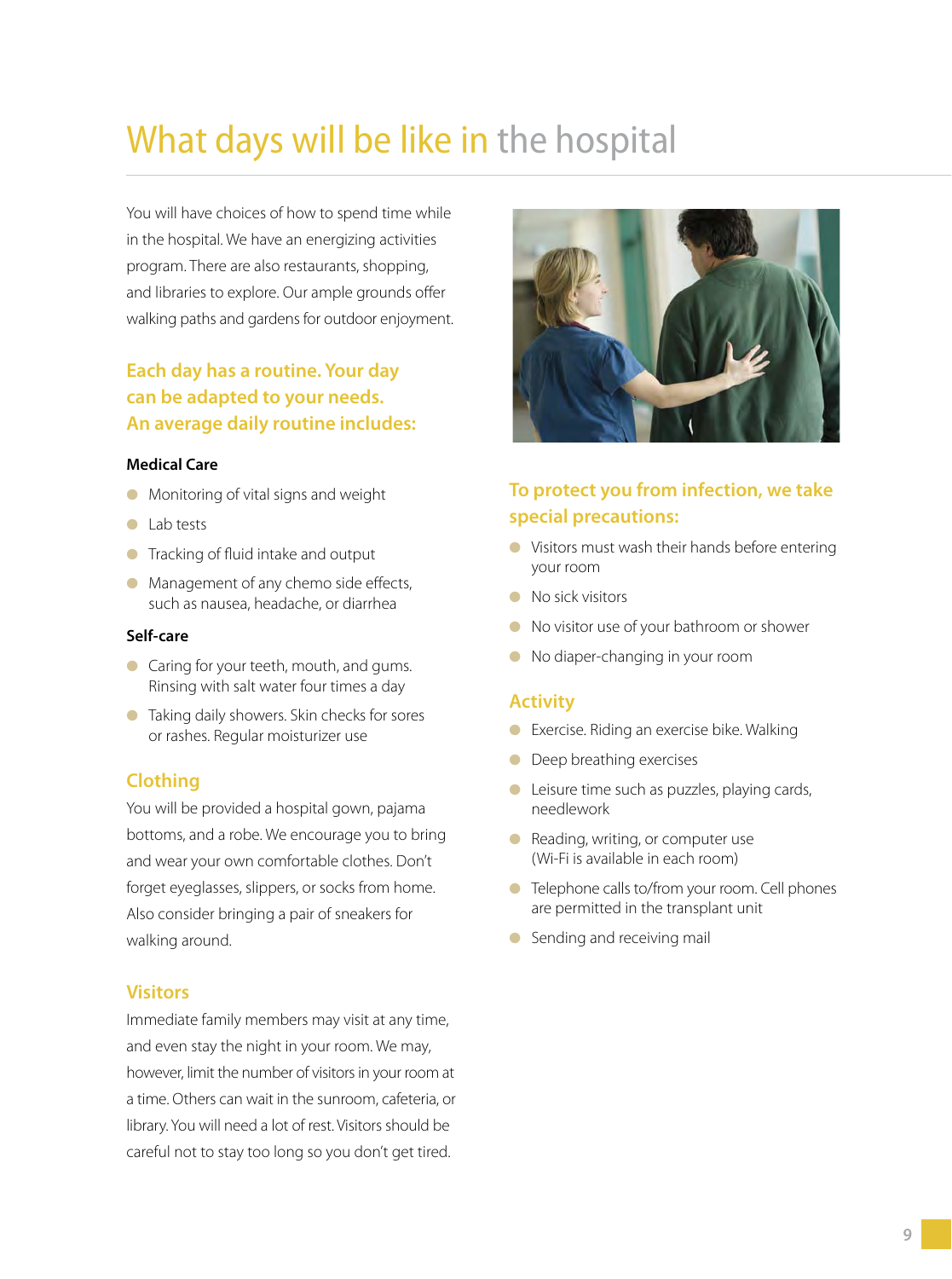# What days will be like in the hospital

You will have choices of how to spend time while in the hospital. We have an energizing activities program. There are also restaurants, shopping, and libraries to explore. Our ample grounds offer walking paths and gardens for outdoor enjoyment.

### **Each day has a routine. Your day can be adapted to your needs. An average daily routine includes:**

#### **Medical Care**

- Monitoring of vital signs and weight
- Lab tests
- Tracking of fluid intake and output
- $\bullet$  Management of any chemo side effects, such as nausea, headache, or diarrhea

#### **Self-care**

- Caring for your teeth, mouth, and gums. Rinsing with salt water four times a day
- Taking daily showers. Skin checks for sores or rashes. Regular moisturizer use

### **Clothing**

You will be provided a hospital gown, pajama bottoms, and a robe. We encourage you to bring and wear your own comfortable clothes. Don't forget eyeglasses, slippers, or socks from home. Also consider bringing a pair of sneakers for walking around.

### **Visitors**

Immediate family members may visit at any time, and even stay the night in your room. We may, however, limit the number of visitors in your room at a time. Others can wait in the sunroom, cafeteria, or library. You will need a lot of rest. Visitors should be careful not to stay too long so you don't get tired.



### **To protect you from infection, we take special precautions:**

- Visitors must wash their hands before entering your room
- No sick visitors
- No visitor use of your bathroom or shower
- No diaper-changing in your room

### **Activity**

- Exercise. Riding an exercise bike. Walking
- Deep breathing exercises
- Leisure time such as puzzles, playing cards, needlework
- Reading, writing, or computer use (Wi-Fi is available in each room)
- Telephone calls to/from your room. Cell phones are permitted in the transplant unit
- Sending and receiving mail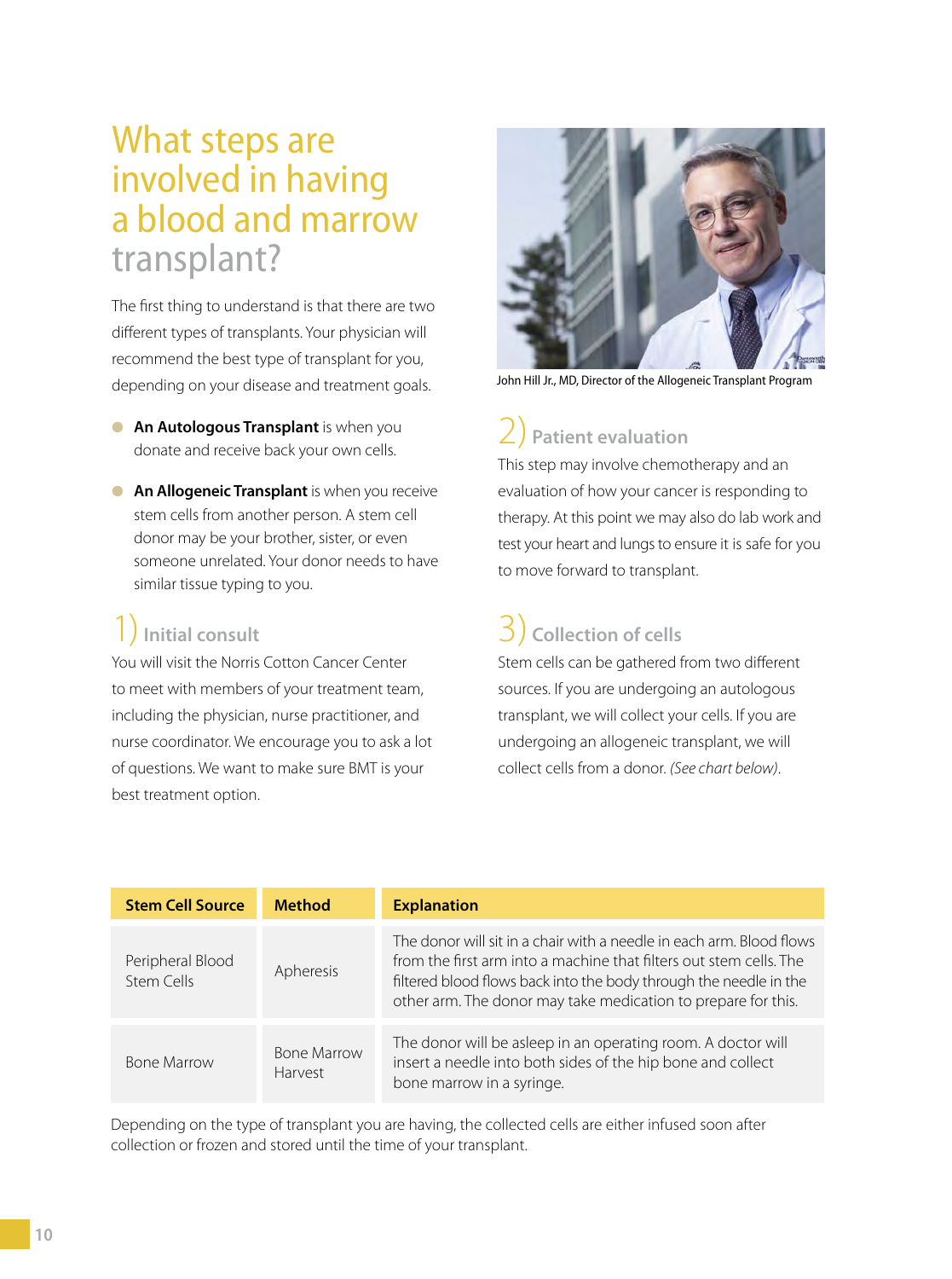### What steps are involved in having a blood and marrow transplant?

The first thing to understand is that there are two different types of transplants. Your physician will recommend the best type of transplant for you, depending on your disease and treatment goals.

- **An Autologous Transplant** is when you donate and receive back your own cells.
- **An Allogeneic Transplant** is when you receive stem cells from another person. A stem cell donor may be your brother, sister, or even someone unrelated. Your donor needs to have similar tissue typing to you.

### 1)**Initial consult**

You will visit the Norris Cotton Cancer Center to meet with members of your treatment team, including the physician, nurse practitioner, and nurse coordinator. We encourage you to ask a lot of questions. We want to make sure BMT is your best treatment option.



John Hill Jr., MD, Director of the Allogeneic Transplant Program

# 2) **Patient evaluation**

This step may involve chemotherapy and an evaluation of how your cancer is responding to therapy. At this point we may also do lab work and test your heart and lungs to ensure it is safe for you to move forward to transplant.

### 3) **Collection of cells**

Stem cells can be gathered from two different sources. If you are undergoing an autologous transplant, we will collect your cells. If you are undergoing an allogeneic transplant, we will collect cells from a donor. (See chart below).

| <b>Stem Cell Source</b>        | <b>Method</b>                 | <b>Explanation</b>                                                                                                                                                                                                                                                               |
|--------------------------------|-------------------------------|----------------------------------------------------------------------------------------------------------------------------------------------------------------------------------------------------------------------------------------------------------------------------------|
| Peripheral Blood<br>Stem Cells | Apheresis                     | The donor will sit in a chair with a needle in each arm. Blood flows<br>from the first arm into a machine that filters out stem cells. The<br>filtered blood flows back into the body through the needle in the<br>other arm. The donor may take medication to prepare for this. |
| <b>Bone Marrow</b>             | <b>Bone Marrow</b><br>Harvest | The donor will be asleep in an operating room. A doctor will<br>insert a needle into both sides of the hip bone and collect<br>bone marrow in a syringe.                                                                                                                         |

Depending on the type of transplant you are having, the collected cells are either infused soon after collection or frozen and stored until the time of your transplant.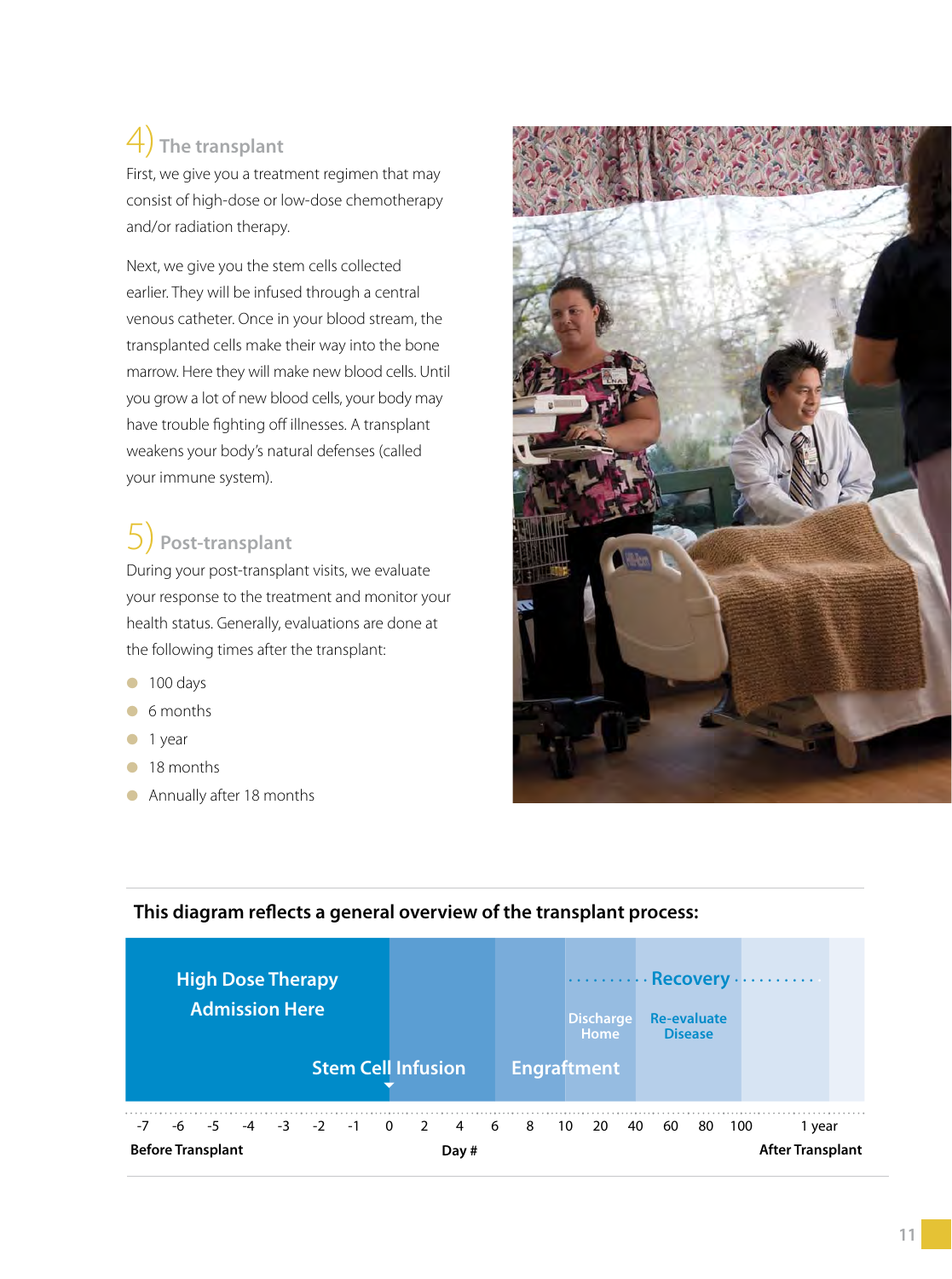### 4) **The transplant**

First, we give you a treatment regimen that may consist of high-dose or low-dose chemotherapy and/or radiation therapy.

Next, we give you the stem cells collected earlier. They will be infused through a central venous catheter. Once in your blood stream, the transplanted cells make their way into the bone marrow. Here they will make new blood cells. Until you grow a lot of new blood cells, your body may have trouble fighting off illnesses. A transplant weakens your body's natural defenses (called your immune system).

### 5) **Post-transplant**

During your post-transplant visits, we evaluate your response to the treatment and monitor your health status. Generally, evaluations are done at the following times after the transplant:

- 100 days
- 6 months
- 1 year
- 18 months
- Annually after 18 months





### This diagram reflects a general overview of the transplant process: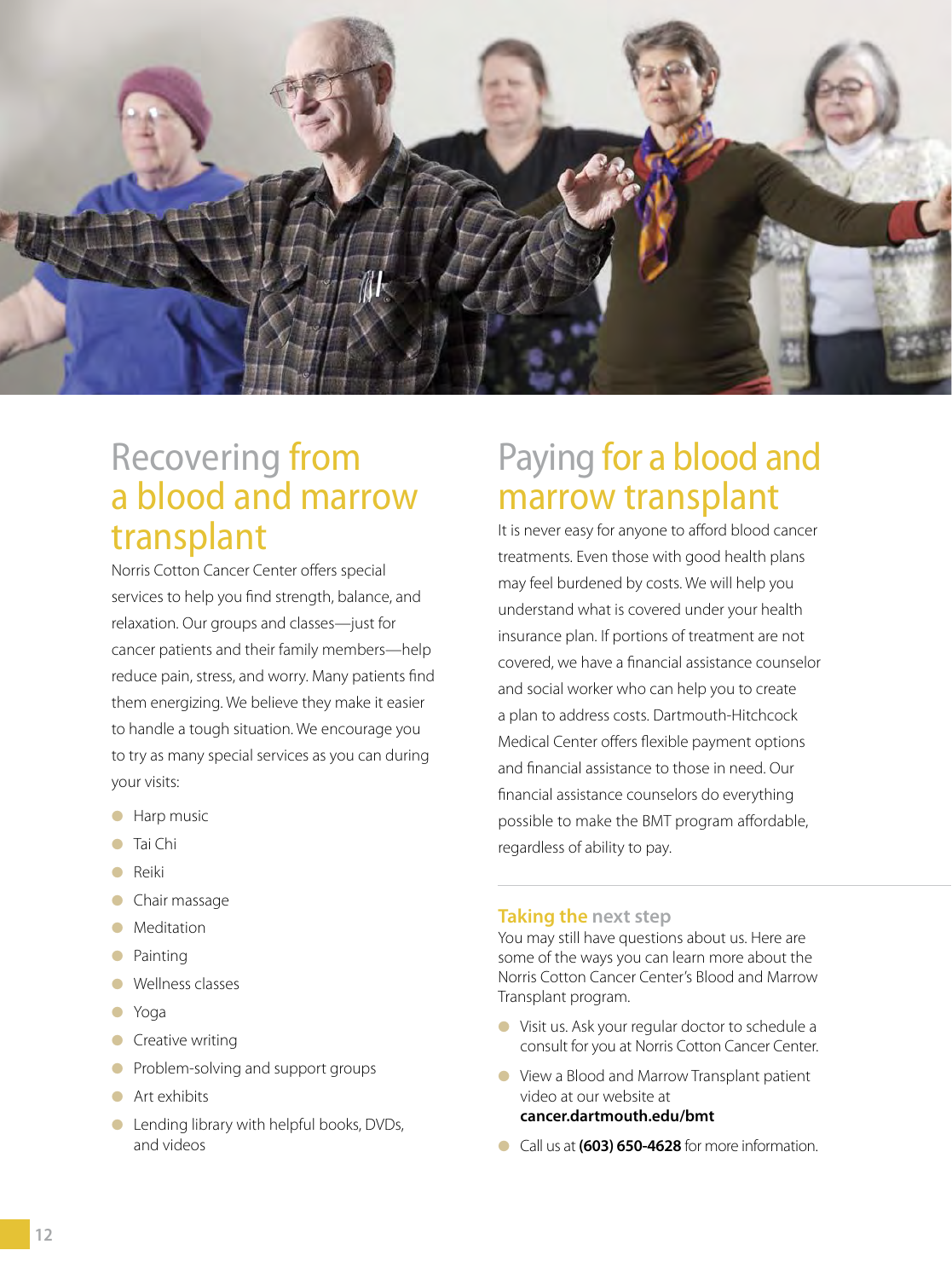

### Recovering from a blood and marrow transplant

Norris Cotton Cancer Center offers special services to help you find strength, balance, and relaxation. Our groups and classes—just for cancer patients and their family members—help reduce pain, stress, and worry. Many patients find them energizing. We believe they make it easier to handle a tough situation. We encourage you to try as many special services as you can during your visits:

- Harp music
- Tai Chi
- Reiki
- Chair massage
- Meditation
- Painting
- Wellness classes
- Yoga
- Creative writing
- Problem-solving and support groups
- Art exhibits
- Lending library with helpful books, DVDs, and videos

### Paying for a blood and marrow transplant

It is never easy for anyone to afford blood cancer treatments. Even those with good health plans may feel burdened by costs. We will help you understand what is covered under your health insurance plan. If portions of treatment are not covered, we have a financial assistance counselor and social worker who can help you to create a plan to address costs. Dartmouth-Hitchcock Medical Center offers flexible payment options and financial assistance to those in need. Our financial assistance counselors do everything possible to make the BMT program affordable, regardless of ability to pay.

#### **Taking the next step**

You may still have questions about us. Here are some of the ways you can learn more about the Norris Cotton Cancer Center's Blood and Marrow Transplant program.

- Visit us. Ask your regular doctor to schedule a consult for you at Norris Cotton Cancer Center.
- View a Blood and Marrow Transplant patient video at our website at **cancer.dartmouth.edu/bmt**
- Call us at **(603) 650-4628** for more information.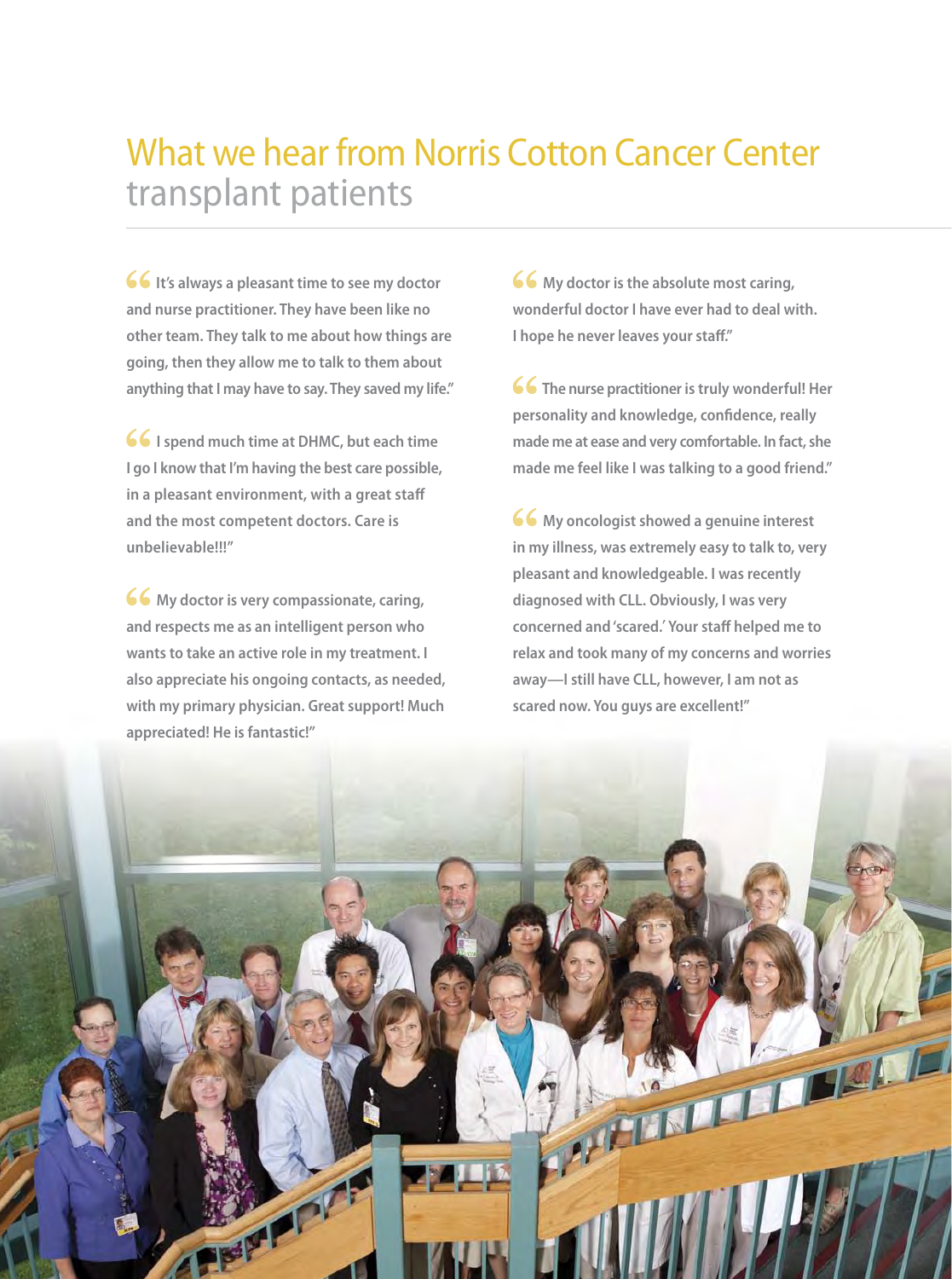## What we hear from Norris Cotton Cancer Center transplant patients

**66** It's always a pleasant time to see my doctor **and nurse practitioner. They have been like no other team. They talk to me about how things are going, then they allow me to talk to them about anything that I may have to say. They saved my life."** 

**66** I spend much time at DHMC, but each time **I go I know that I'm having the best care possible, in a pleasant environment, with a great staff and the most competent doctors. Care is unbelievable!!!"**

**66** My doctor is very compassionate, caring, **and respects me as an intelligent person who wants to take an active role in my treatment. I also appreciate his ongoing contacts, as needed, with my primary physician. Great support! Much appreciated! He is fantastic!"**

**66** My doctor is the absolute most caring, **wonderful doctor I have ever had to deal with. I hope he never leaves your staff."** 

**66** The nurse practitioner is truly wonderful! Her personality and knowledge, confidence, really **made me at ease and very comfortable. In fact, she made me feel like I was talking to a good friend."**

**66** My oncologist showed a genuine interest **in my illness, was extremely easy to talk to, very pleasant and knowledgeable. I was recently diagnosed with CLL. Obviously, I was very concerned and 'scared.**' **Your staff helped me to relax and took many of my concerns and worries away—I still have CLL, however, I am not as scared now. You guys are excellent!"**